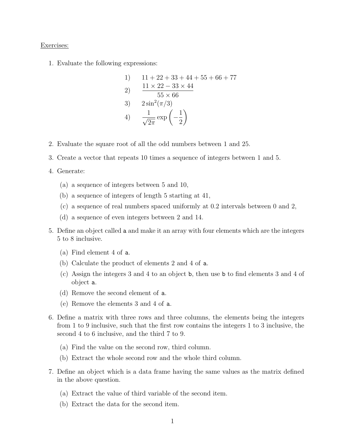## Exercises:

1. Evaluate the following expressions:

1) 
$$
11 + 22 + 33 + 44 + 55 + 66 + 77
$$
  
\n2)  $\frac{11 \times 22 - 33 \times 44}{55 \times 66}$   
\n3)  $2 \sin^2(\pi/3)$   
\n4)  $\frac{1}{\sqrt{2\pi}} \exp\left(-\frac{1}{2}\right)$ 

- 2. Evaluate the square root of all the odd numbers between 1 and 25.
- 3. Create a vector that repeats 10 times a sequence of integers between 1 and 5.

## 4. Generate:

- (a) a sequence of integers between 5 and 10,
- (b) a sequence of integers of length 5 starting at 41,
- (c) a sequence of real numbers spaced uniformly at 0.2 intervals between 0 and 2,
- (d) a sequence of even integers between 2 and 14.
- 5. Define an object called a and make it an array with four elements which are the integers 5 to 8 inclusive.
	- (a) Find element 4 of a.
	- (b) Calculate the product of elements 2 and 4 of a.
	- (c) Assign the integers 3 and 4 to an object b, then use b to find elements 3 and 4 of object a.
	- (d) Remove the second element of a.
	- (e) Remove the elements 3 and 4 of a.
- 6. Define a matrix with three rows and three columns, the elements being the integers from 1 to 9 inclusive, such that the first row contains the integers 1 to 3 inclusive, the second 4 to 6 inclusive, and the third 7 to 9.
	- (a) Find the value on the second row, third column.
	- (b) Extract the whole second row and the whole third column.
- 7. Define an object which is a data frame having the same values as the matrix defined in the above question.
	- (a) Extract the value of third variable of the second item.
	- (b) Extract the data for the second item.